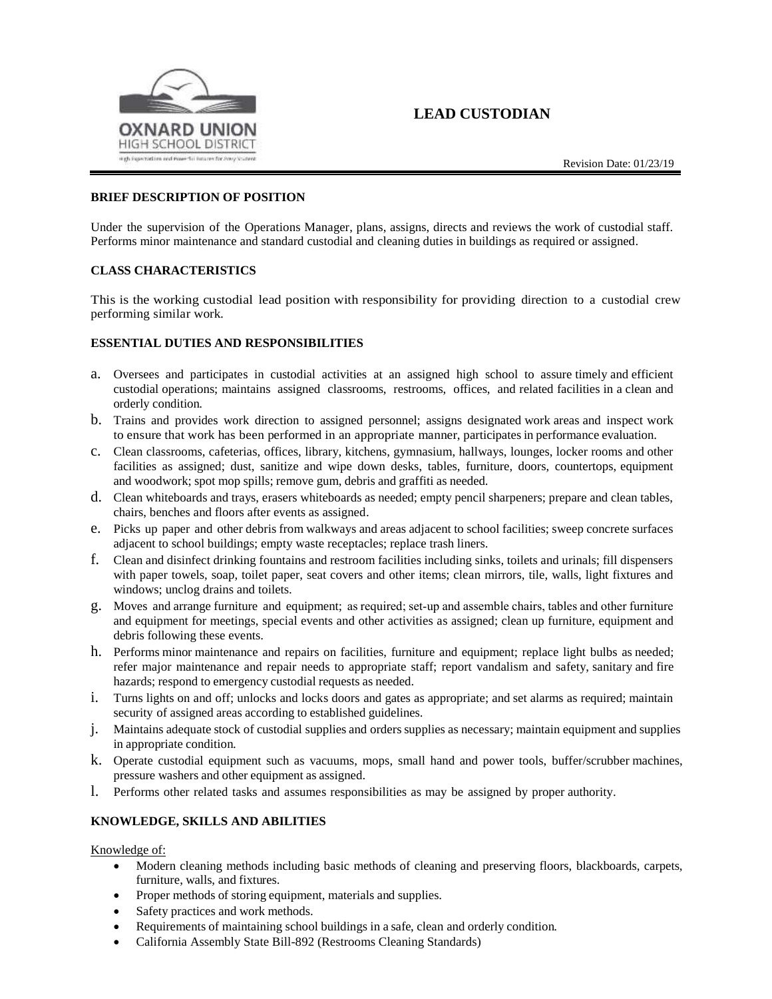

# **LEAD CUSTODIAN**

## **BRIEF DESCRIPTION OF POSITION**

Under the supervision of the Operations Manager, plans, assigns, directs and reviews the work of custodial staff. Performs minor maintenance and standard custodial and cleaning duties in buildings as required or assigned.

#### **CLASS CHARACTERISTICS**

This is the working custodial lead position with responsibility for providing direction to a custodial crew performing similar work.

#### **ESSENTIAL DUTIES AND RESPONSIBILITIES**

- a. Oversees and participates in custodial activities at an assigned high school to assure timely and efficient custodial operations; maintains assigned classrooms, restrooms, offices, and related facilities in a clean and orderly condition.
- b. Trains and provides work direction to assigned personnel; assigns designated work areas and inspect work to ensure that work has been performed in an appropriate manner, participatesin performance evaluation.
- c. Clean classrooms, cafeterias, offices, library, kitchens, gymnasium, hallways, lounges, locker rooms and other facilities as assigned; dust, sanitize and wipe down desks, tables, furniture, doors, countertops, equipment and woodwork; spot mop spills; remove gum, debris and graffiti as needed.
- d. Clean whiteboards and trays, erasers whiteboards as needed; empty pencil sharpeners; prepare and clean tables, chairs, benches and floors after events as assigned.
- e. Picks up paper and other debris from walkways and areas adjacent to school facilities; sweep concrete surfaces adjacent to school buildings; empty waste receptacles; replace trash liners.
- f. Clean and disinfect drinking fountains and restroom facilities including sinks, toilets and urinals; fill dispensers with paper towels, soap, toilet paper, seat covers and other items; clean mirrors, tile, walls, light fixtures and windows; unclog drains and toilets.
- g. Moves and arrange furniture and equipment; as required; set‐up and assemble chairs, tables and other furniture and equipment for meetings, special events and other activities as assigned; clean up furniture, equipment and debris following these events.
- h. Performs minor maintenance and repairs on facilities, furniture and equipment; replace light bulbs as needed; refer major maintenance and repair needs to appropriate staff; report vandalism and safety, sanitary and fire hazards; respond to emergency custodial requests as needed.
- i. Turns lights on and off; unlocks and locks doors and gates as appropriate; and set alarms as required; maintain security of assigned areas according to established guidelines.
- j. Maintains adequate stock of custodial supplies and orders supplies as necessary; maintain equipment and supplies in appropriate condition.
- k. Operate custodial equipment such as vacuums, mops, small hand and power tools, buffer/scrubber machines, pressure washers and other equipment as assigned.
- l. Performs other related tasks and assumes responsibilities as may be assigned by proper authority.

#### **KNOWLEDGE, SKILLS AND ABILITIES**

Knowledge of:

- Modern cleaning methods including basic methods of cleaning and preserving floors, blackboards, carpets, furniture, walls, and fixtures.
- Proper methods of storing equipment, materials and supplies.
- Safety practices and work methods.
- Requirements of maintaining school buildings in a safe, clean and orderly condition.
- California Assembly State Bill-892 (Restrooms Cleaning Standards)